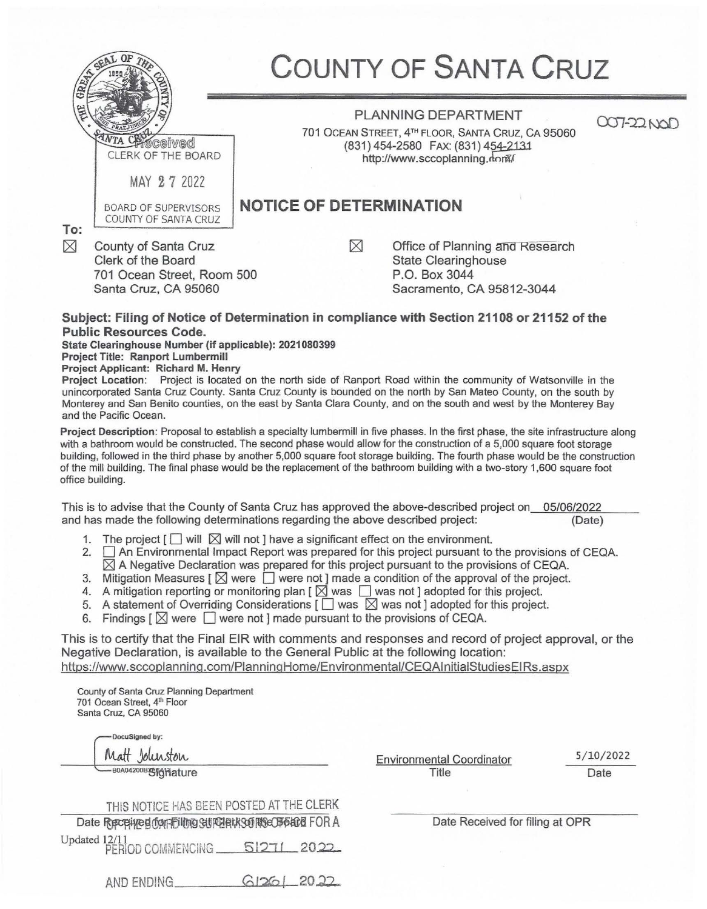|                    |                                                                                                  | <b>COUNTY OF SANTA CRUZ</b>                                                                                                                           |            |  |  |
|--------------------|--------------------------------------------------------------------------------------------------|-------------------------------------------------------------------------------------------------------------------------------------------------------|------------|--|--|
|                    | VTA CHICCOIVED<br>CLERK OF THE BOARD                                                             | <b>PLANNING DEPARTMENT</b><br>701 OCEAN STREET, 4TH FLOOR, SANTA CRUZ, CA 95060<br>(831) 454-2580 FAX: (831) 454-2131<br>http://www.sccoplanning.dom/ | 007-22 NOD |  |  |
|                    | MAY 27 2022                                                                                      |                                                                                                                                                       |            |  |  |
| To:<br>$\boxtimes$ | <b>BOARD OF SUPERVISORS</b><br>COUNTY OF SANTA CRUZ                                              | <b>NOTICE OF DETERMINATION</b>                                                                                                                        |            |  |  |
|                    | County of Santa Cruz<br>Clerk of the Board<br>701 Ocean Street, Room 500<br>Santa Cruz, CA 95060 | Office of Planning and Research<br><b>State Clearinghouse</b><br>P.O. Box 3044<br>Sacramento, CA 95812-3044                                           |            |  |  |

## **Subject: Filing of Notice of Determination in compliance with Section 21108 or 21152 of the Public Resources Code.**

**State Clearinghouse Number (if applicable): 2021080399** 

**Project Title: Ranport Lumbermill** 

**Project Applicant: Richard M. Henry** 

**Project Location:** Project is located on the north side of Ranport Road within the community of Watsonville in the unincorporated Santa Cruz County. Santa Cruz County is bounded on the north by San Mateo County, on the south by Monterey and San Benito counties, on the east by Santa Clara County, and on the south and west by the Monterey Bay and the Pacific Ocean.

**Project Description:** Proposal to establish a specialty lumbermill in five phases. In the first phase, the site infrastructure along with a bathroom would be constructed. The second phase would allow for the construction of a 5,000 square foot storage building, followed in the third phase by another 5,000 square foot storage building. The fourth phase would be the construction of the mill building. The final phase would be the replacement of the bathroom building with a two-story 1,600 square foot office building.

This is to advise that the County of Santa Cruz has approved the above-described project on 05/06/2022<br>and has made the following determinations regarding the above described project: (Date) and has made the following determinations regarding the above described project:

- 1. The project  $\lceil \cdot \rceil$  will  $\lceil \cdot \rceil$  will not ] have a significant effect on the environment.
- 2.  $\Box$  An Environmental Impact Report was prepared for this project pursuant to the provisions of CEQA.  $\boxtimes$  A Negative Declaration was prepared for this project pursuant to the provisions of CEQA.
- 3. Mitigation Measures  $\lceil \bigotimes$  were  $\lceil \bigcirc \rceil$  were not ] made a condition of the approval of the project.
- 4. A mitigation reporting or monitoring plan  $\lceil \sum$  was  $\lceil \log n \rceil$  adopted for this project.
- 5. A statement of Overriding Considerations  $\lceil \Box \rceil$  was  $\lceil \Box \rceil$  was not ] adopted for this project.
- 6. Findings  $\lceil \bigotimes$  were  $\Box$  were not ] made pursuant to the provisions of CEQA.

This is to certify that the Final EIR with comments and responses and record of project approval, or the Negative Declaration, is available to the General Public at the following location: https://www.sccoplanning.com/PlanningHome/Environmental/CEQAlnitialStudiesEIRs.aspx

County of Santa Cruz Planning Department 701 Ocean Street, 4th Floor Santa Cruz, CA 95060

DocuSigned by: Jolun

**BOA04200BSfGHature** 

Environmental Coordinator Title

5/ 10/2022 Date

|                                      |  |  | THIS NOTICE HAS BEEN POSTED AT THE CLERK               |  |           |  |
|--------------------------------------|--|--|--------------------------------------------------------|--|-----------|--|
|                                      |  |  | Date Received don Filmo Still Datk Sof Rec B6ard FOR A |  |           |  |
| Updated 12/11<br>. PERIOD COMMENCING |  |  |                                                        |  | 512712022 |  |

Date Received for filing at OPR

 $G12G12022$ AND ENDING